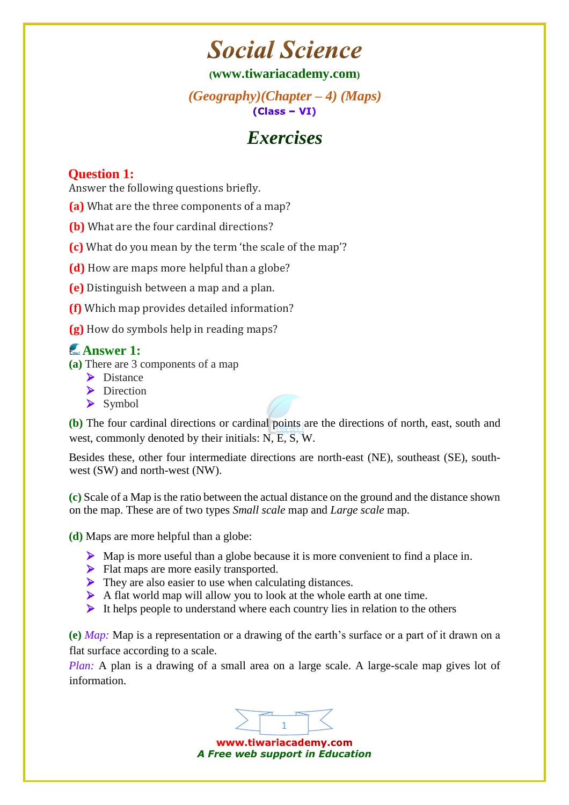# **Social Science**

**([www.tiwariacademy.com](http://www.tiwariacademy.com/))**

*(Geography)(Chapter – 4) (Maps)*   $(Class - VI)$ 

# *Exercises*

### **Question 1:**

Answer the following questions briefly.

- **(a)** What are the three components [of](http://www.tiwariacademy.com/) a map?
- **(b)** What are the four cardinal directions?
- **(c)** What do you mean by the term 'the scale of the map'?

**(d)** How are maps more helpful than a globe?

- **(e)** Distinguish between a map and a plan.
- **(f)** Which map provides detailed information?
- **(g)** How do symbols help in reading maps?

## **Answer 1:**

- **(a)** There are 3 components of a map
	- $\triangleright$  Distance
	- Direction
	- $\triangleright$  Symbol

**(b)** The four cardinal directions or cardinal points are the directions [of](http://www.tiwariacademy.com/) north, east, south and west, commonly denoted by their initials: N, E, S, W.

Besides these, other four intermediate directions are north-east (NE), southeast (SE), southwest (SW) and north-west (NW).

**(c)** Scale of a Map is the ratio between the actual distance on the ground and the distance shown on the map. These are of two types *Small scale* map and *Large scale* map.

**(d)** Maps are more helpful than a globe:

- Map is more useful than a globe because it is more convenient to find a place in.
- Flat maps are more easily transported.
- $\triangleright$  They are also easier to use when calculating distances.
- A flat world map will allow you to look at the whole earth at one time.
- $\triangleright$  It helps people to understand where each country lies in relation to the others

**(e)** *Map:* Map is a representation or a drawing [of](http://www.tiwariacademy.com/) the earth's surface or a part of it drawn on a flat surface according to a scale.

*Plan:* A plan is a drawing of a small area on a large scale. A large-scale map gives lot of information.



www.tiwariacademy.com *A Free web support in Education*